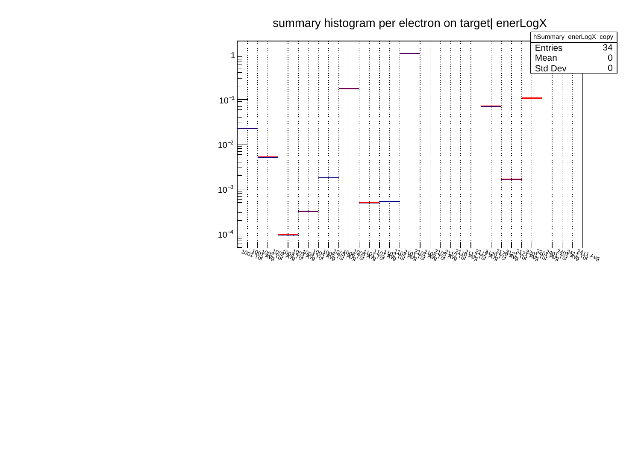## summary histogram per electron on target| enerLogX